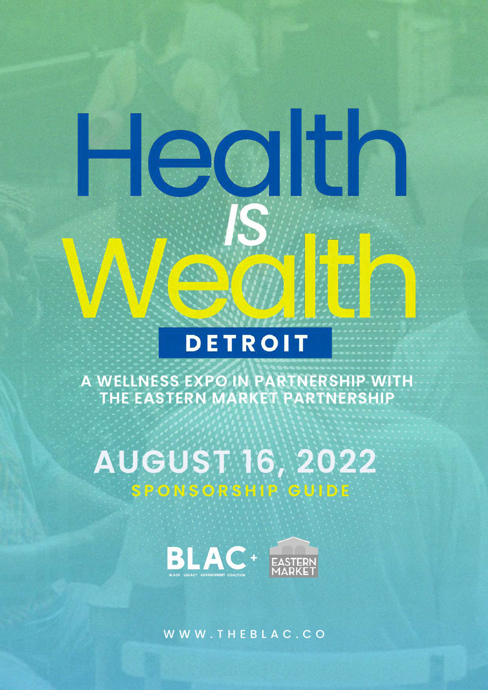

## **DETROIT**

**A WELLNESS EXPO IN PARTNERSHIP WITH THE EASTERN MARKET PARTNERSHIP**

# **AUGUST 16, 2022 SPONSORSHIP GUIDE**



WWW.THEBLAC.CO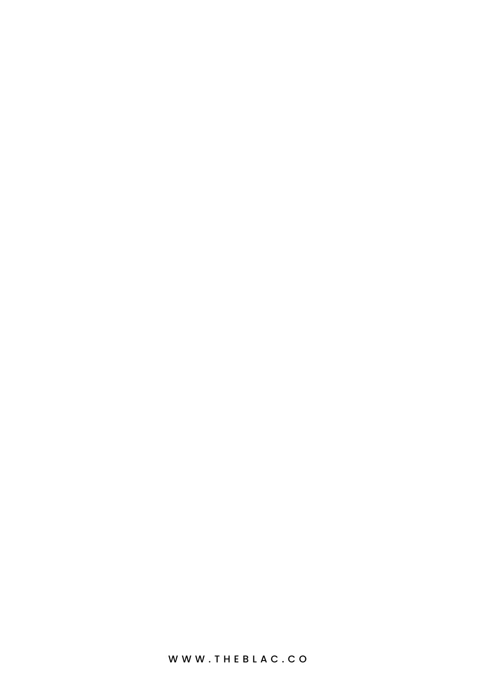WWW.THEBLAC.CO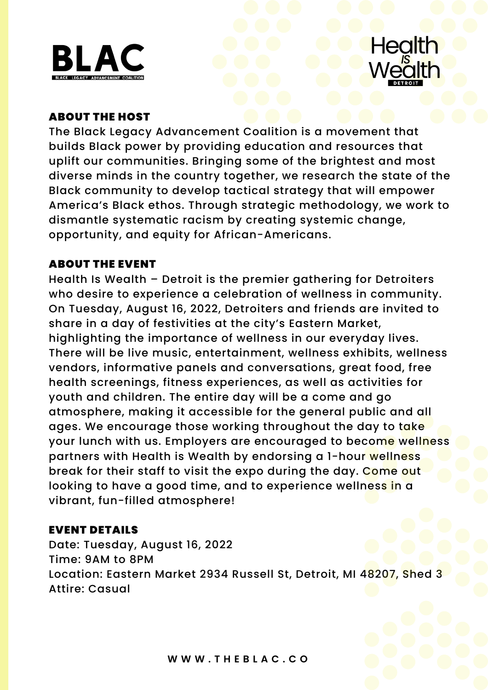



#### ABOUT THE HOST

The Black Legacy Advancement Coalition is a movement that builds Black power by providing education and resources that uplift our communities. Bringing some of the brightest and most diverse minds in the country together, we research the state of the Black community to develop tactical strategy that will empower America's Black ethos. Through strategic methodology, we work to dismantle systematic racism by creating systemic change, opportunity, and equity for African-Americans.

## ABOUT THE EVENT

Health Is Wealth – Detroit is the premier gathering for Detroiters who desire to experience a celebration of wellness in community. On Tuesday, August 16, 2022, Detroiters and friends are invited to share in a day of festivities at the city's Eastern Market, highlighting the importance of wellness in our everyday lives. There will be live music, entertainment, wellness exhibits, wellness vendors, informative panels and conversations, great food, free health screenings, fitness experiences, as well as activities for youth and children. The entire day will be a come and go atmosphere, making it accessible for the general public and all ages. We encourage those working throughout the day to take your lunch with us. Employers are encouraged to become wellness partners with Health is Wealth by endorsing a 1-hour wellness break for their staff to visit the expo during the day. Come out looking to have a good time, and to experience wellness in a vibrant, fun-filled atmosphere!

## EVENT DETAILS

Date: Tuesday, August 16, 2022 Time: 9AM to 8PM Location: Eastern Market 2934 Russell St, Detroit, MI 48207, Shed 3 Attire: Casual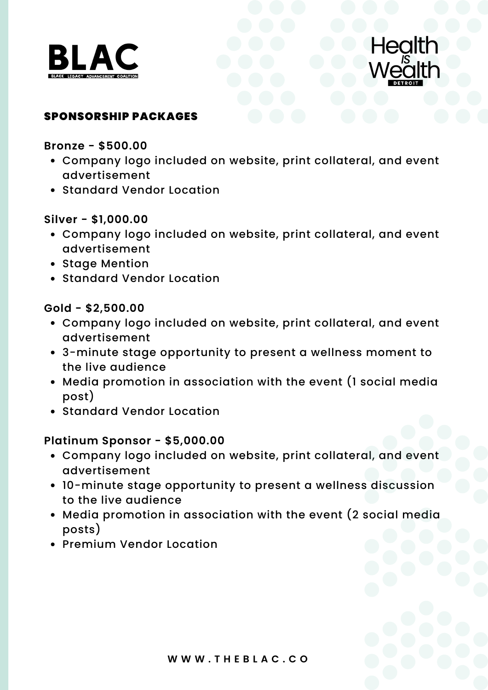



#### SPONSORSHIP PACKAGES

#### **Bronze - \$500.00**

- Company logo included on website, print collateral, and event advertisement
- Standard Vendor Location

#### **Silver - \$1,000.00**

- Company logo included on website, print collateral, and event advertisement
- Stage Mention
- Standard Vendor Location

#### **Gold - \$2,500.00**

- Company logo included on website, print collateral, and event advertisement
- 3-minute stage opportunity to present a wellness moment to the live audience
- Media promotion in association with the event (1 social media post)
- Standard Vendor Location

#### **Platinum Sponsor - \$5,000.00**

- Company logo included on website, print collateral, and event advertisement
- 10-minute stage opportunity to present a wellness discussion to the live audience
- Media promotion in association with the event (2 social media posts)
- Premium Vendor Location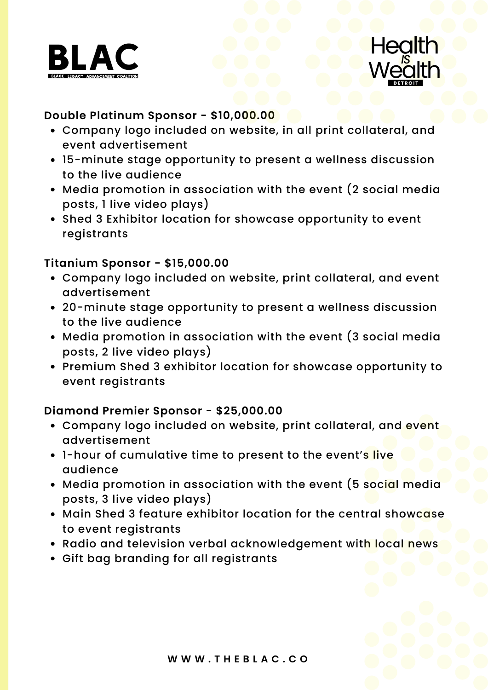



## **Double Platinum Sponsor - \$10,000.00**

- Company logo included on website, in all print collateral, and event advertisement
- 15-minute stage opportunity to present a wellness discussion to the live audience
- Media promotion in association with the event (2 social media posts, 1 live video plays)
- Shed 3 Exhibitor location for showcase opportunity to event registrants

## **Titanium Sponsor - \$15,000.00**

- Company logo included on website, print collateral, and event advertisement
- 20-minute stage opportunity to present a wellness discussion to the live audience
- Media promotion in association with the event (3 social media posts, 2 live video plays)
- Premium Shed 3 exhibitor location for showcase opportunity to event registrants

## **Diamond Premier Sponsor - \$25,000.00**

- Company logo included on website, print collateral, and event advertisement
- 1-hour of cumulative time to present to the event's live audience
- Media promotion in association with the event (5 social media posts, 3 live video plays)
- Main Shed 3 feature exhibitor location for the central showcase to event registrants
- Radio and television verbal acknowledgement with local news
- Gift bag branding for all registrants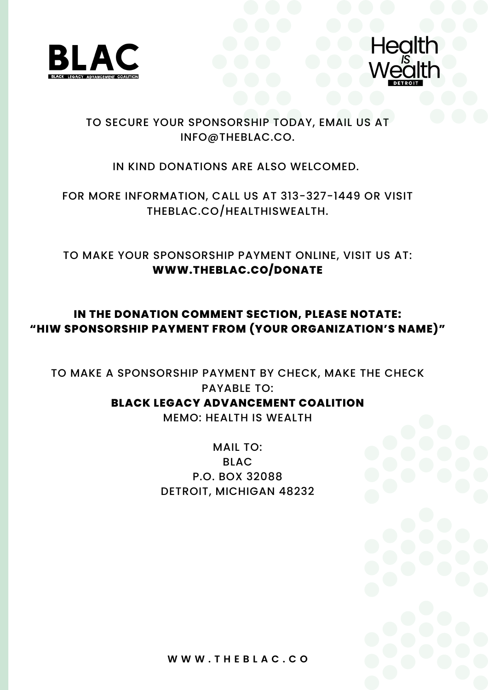



## TO SECURE YOUR SPONSORSHIP TODAY, EMAIL US AT INFO@THEBLAC.CO.

## IN KIND DONATIONS ARE ALSO WELCOMED.

FOR MORE INFORMATION, CALL US AT 313-327-1449 OR VISIT THEBLAC.CO/HEALTHISWEALTH.

TO MAKE YOUR SPONSORSHIP PAYMENT ONLINE, VISIT US AT: **WWW.THEBLAC.CO/DONATE**

## **IN THE DONATION COMMENT SECTION, PLEASE NOTATE: "HIW SPONSORSHIP PAYMENT FROM (YOUR ORGANIZATION'S NAME)"**

TO MAKE A SPONSORSHIP PAYMENT BY CHECK, MAKE THE CHECK PAYABLE TO: **BLACK LEGACY ADVANCEMENT COALITION** MEMO: HEALTH IS WEALTH

> MAIL TO: BLAC P.O. BOX 32088 DETROIT, MICHIGAN 48232

**W W W . T H E B L A C . C O**